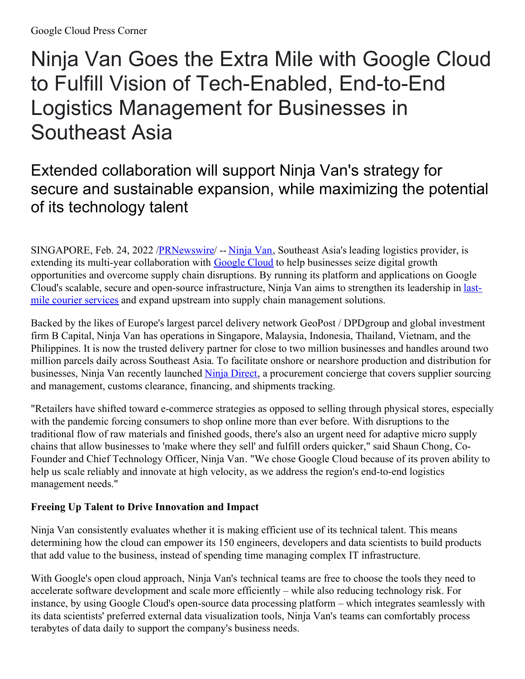# Ninja Van Goes the Extra Mile with Google Cloud to Fulfill Vision of Tech-Enabled, End-to-End Logistics Management for Businesses in Southeast Asia

## Extended collaboration will support Ninja Van's strategy for secure and sustainable expansion, while maximizing the potential of its technology talent

SINGAPORE, Feb. 24, 2022 /**PRNewswire/** -- [Ninja](https://c212.net/c/link/?t=0&l=en&o=3454233-1&h=732518884&u=https%3A%2F%2Fwww.ninjavan.co%2F&a=Ninja+Van) Van, Southeast Asia's leading logistics provider, is extending its multi-year collaboration with **[Google](https://c212.net/c/link/?t=0&l=en&o=3454233-1&h=1028657955&u=https%3A%2F%2Fcloud.google.com%2F&a=Google+Cloud) Cloud** to help businesses seize digital growth opportunities and overcome supply chain disruptions. By running its platform and applications on Google Cloud's scalable, secure and open-source [infrastructure,](https://c212.net/c/link/?t=0&l=en&o=3454233-1&h=1142721719&u=https%3A%2F%2Fwww.ninjavan.co%2Fen-sg%2Fservices%2Fall-services&a=last-mile+courier+services) Ninja Van aims to strengthen its leadership in lastmile courier services and expand upstream into supply chain management solutions.

Backed by the likes of Europe's largest parcel delivery network GeoPost / DPDgroup and global investment firm B Capital, Ninja Van has operations in Singapore, Malaysia, Indonesia, Thailand, Vietnam, and the Philippines. It is now the trusted delivery partner for close to two million businesses and handles around two million parcels daily across Southeast Asia. To facilitate onshore or nearshore production and distribution for businesses, Ninja Van recently launched Ninja [Direct](https://c212.net/c/link/?t=0&l=en&o=3454233-1&h=909351259&u=https%3A%2F%2Fwww.ninjaxpress.co%2Fen-id%2Fservices%2Fninja-direct&a=Ninja+Direct), a procurement concierge that covers supplier sourcing and management, customs clearance, financing, and shipments tracking.

"Retailers have shifted toward e-commerce strategies as opposed to selling through physical stores, especially with the pandemic forcing consumers to shop online more than ever before. With disruptions to the traditional flow of raw materials and finished goods, there's also an urgent need for adaptive micro supply chains that allow businesses to 'make where they sell' and fulfill orders quicker," said Shaun Chong, Co-Founder and Chief Technology Officer, Ninja Van. "We chose Google Cloud because of its proven ability to help us scale reliably and innovate at high velocity, as we address the region's end-to-end logistics management needs."

### **Freeing Up Talent to Drive Innovation and Impact**

Ninja Van consistently evaluates whether it is making efficient use of its technical talent. This means determining how the cloud can empower its 150 engineers, developers and data scientists to build products that add value to the business, instead of spending time managing complex IT infrastructure.

With Google's open cloud approach, Ninja Van's technical teams are free to choose the tools they need to accelerate software development and scale more efficiently – while also reducing technology risk. For instance, by using Google Cloud's open-source data processing platform – which integrates seamlessly with its data scientists' preferred external data visualization tools, Ninja Van's teams can comfortably process terabytes of data daily to support the company's business needs.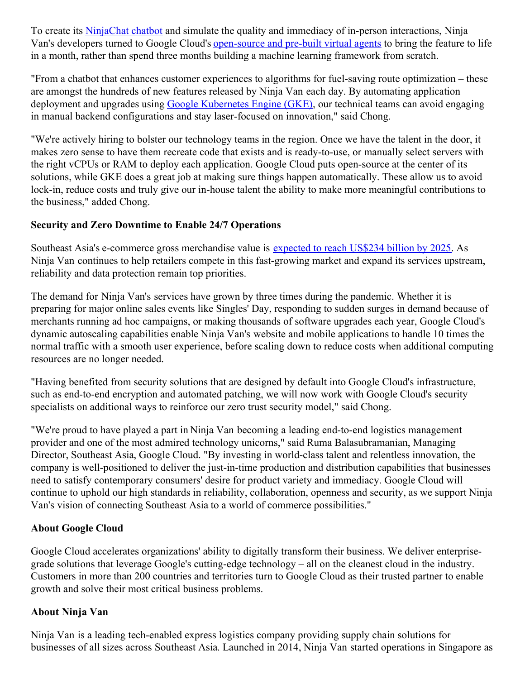To create its [NinjaChat](https://c212.net/c/link/?t=0&l=en&o=3454233-1&h=3112654833&u=https%3A%2F%2Fsns.ninjavan.co%2F&a=NinjaChat+chatbot) chatbot and simulate the quality and immediacy of in-person interactions, Ninja Van's developers turned to Google Cloud's [open-source](https://c212.net/c/link/?t=0&l=en&o=3454233-1&h=2246344803&u=https%3A%2F%2Fcloud.google.com%2Fdialogflow&a=open-source+and+pre-built+virtual+agents) and pre-built virtual agents to bring the feature to life in a month, rather than spend three months building a machine learning framework from scratch.

"From a chatbot that enhances customer experiences to algorithms for fuel-saving route optimization – these are amongst the hundreds of new features released by Ninja Van each day. By automating application deployment and upgrades using Google [Kubernetes](https://c212.net/c/link/?t=0&l=en&o=3454233-1&h=3567024292&u=https%3A%2F%2Fcloud.google.com%2Fkubernetes-engine&a=Google+Kubernetes+Engine+(GKE)) Engine (GKE), our technical teams can avoid engaging in manual backend configurations and stay laser-focused on innovation," said Chong.

"We're actively hiring to bolster our technology teams in the region. Once we have the talent in the door, it makes zero sense to have them recreate code that exists and is ready-to-use, or manually select servers with the right vCPUs or RAM to deploy each application. Google Cloud puts open-source at the center of its solutions, while GKE does a great job at making sure things happen automatically. These allow us to avoid lock-in, reduce costs and truly give our in-house talent the ability to make more meaningful contributions to the business," added Chong.

#### **Security and Zero Downtime to Enable 24/7 Operations**

Southeast Asia's e-commerce gross merchandise value is [expected](https://c212.net/c/link/?t=0&l=en&o=3454233-1&h=3567505837&u=https%3A%2F%2Feconomysea.withgoogle.com%2F&a=expected+to+reach+US%24234+billion+by+2025) to reach US\$234 billion by 2025. As Ninja Van continues to help retailers compete in this fast-growing market and expand its services upstream, reliability and data protection remain top priorities.

The demand for Ninja Van's services have grown by three times during the pandemic. Whether it is preparing for major online sales events like Singles' Day, responding to sudden surges in demand because of merchants running ad hoc campaigns, or making thousands of software upgrades each year, Google Cloud's dynamic autoscaling capabilities enable Ninja Van's website and mobile applications to handle 10 times the normal traffic with a smooth user experience, before scaling down to reduce costs when additional computing resources are no longer needed.

"Having benefited from security solutions that are designed by default into Google Cloud's infrastructure, such as end-to-end encryption and automated patching, we will now work with Google Cloud's security specialists on additional ways to reinforce our zero trust security model," said Chong.

"We're proud to have played a part in Ninja Van becoming a leading end-to-end logistics management provider and one of the most admired technology unicorns," said Ruma Balasubramanian, Managing Director, Southeast Asia, Google Cloud. "By investing in world-class talent and relentless innovation, the company is well-positioned to deliver the just-in-time production and distribution capabilities that businesses need to satisfy contemporary consumers' desire for product variety and immediacy. Google Cloud will continue to uphold our high standards in reliability, collaboration, openness and security, as we support Ninja Van's vision of connecting Southeast Asia to a world of commerce possibilities."

#### **About Google Cloud**

Google Cloud accelerates organizations' ability to digitally transform their business. We deliver enterprisegrade solutions that leverage Google's cutting-edge technology – all on the cleanest cloud in the industry. Customers in more than 200 countries and territories turn to Google Cloud as their trusted partner to enable growth and solve their most critical business problems.

#### **About Ninja Van**

Ninja Van is a leading tech-enabled express logistics company providing supply chain solutions for businesses of all sizes across Southeast Asia. Launched in 2014, Ninja Van started operations in Singapore as